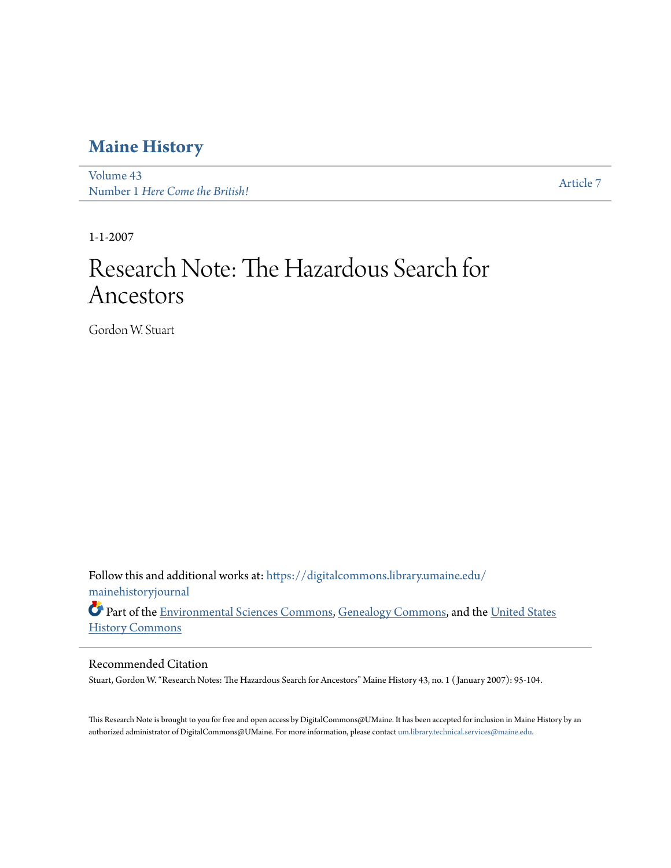### **[Maine History](https://digitalcommons.library.umaine.edu/mainehistoryjournal?utm_source=digitalcommons.library.umaine.edu%2Fmainehistoryjournal%2Fvol43%2Fiss1%2F7&utm_medium=PDF&utm_campaign=PDFCoverPages)**

[Volume 43](https://digitalcommons.library.umaine.edu/mainehistoryjournal/vol43?utm_source=digitalcommons.library.umaine.edu%2Fmainehistoryjournal%2Fvol43%2Fiss1%2F7&utm_medium=PDF&utm_campaign=PDFCoverPages) volume 45<br>Number 1 *[Here Come the British!](https://digitalcommons.library.umaine.edu/mainehistoryjournal/vol43/iss1?utm_source=digitalcommons.library.umaine.edu%2Fmainehistoryjournal%2Fvol43%2Fiss1%2F7&utm_medium=PDF&utm_campaign=PDFCoverPages)* [Article 7](https://digitalcommons.library.umaine.edu/mainehistoryjournal/vol43/iss1/7?utm_source=digitalcommons.library.umaine.edu%2Fmainehistoryjournal%2Fvol43%2Fiss1%2F7&utm_medium=PDF&utm_campaign=PDFCoverPages)

1-1-2007

# Research Note: The Hazardous Search for Ancestors

Gordon W. Stuart

Follow this and additional works at: [https://digitalcommons.library.umaine.edu/](https://digitalcommons.library.umaine.edu/mainehistoryjournal?utm_source=digitalcommons.library.umaine.edu%2Fmainehistoryjournal%2Fvol43%2Fiss1%2F7&utm_medium=PDF&utm_campaign=PDFCoverPages) [mainehistoryjournal](https://digitalcommons.library.umaine.edu/mainehistoryjournal?utm_source=digitalcommons.library.umaine.edu%2Fmainehistoryjournal%2Fvol43%2Fiss1%2F7&utm_medium=PDF&utm_campaign=PDFCoverPages)

Part of the [Environmental Sciences Commons,](http://network.bepress.com/hgg/discipline/167?utm_source=digitalcommons.library.umaine.edu%2Fmainehistoryjournal%2Fvol43%2Fiss1%2F7&utm_medium=PDF&utm_campaign=PDFCoverPages) [Genealogy Commons](http://network.bepress.com/hgg/discipline/1342?utm_source=digitalcommons.library.umaine.edu%2Fmainehistoryjournal%2Fvol43%2Fiss1%2F7&utm_medium=PDF&utm_campaign=PDFCoverPages), and the [United States](http://network.bepress.com/hgg/discipline/495?utm_source=digitalcommons.library.umaine.edu%2Fmainehistoryjournal%2Fvol43%2Fiss1%2F7&utm_medium=PDF&utm_campaign=PDFCoverPages) [History Commons](http://network.bepress.com/hgg/discipline/495?utm_source=digitalcommons.library.umaine.edu%2Fmainehistoryjournal%2Fvol43%2Fiss1%2F7&utm_medium=PDF&utm_campaign=PDFCoverPages)

#### Recommended Citation

Stuart, Gordon W. "Research Notes: The Hazardous Search for Ancestors" Maine History 43, no. 1 ( January 2007): 95-104.

This Research Note is brought to you for free and open access by DigitalCommons@UMaine. It has been accepted for inclusion in Maine History by an authorized administrator of DigitalCommons@UMaine. For more information, please contact [um.library.technical.services@maine.edu.](mailto:um.library.technical.services@maine.edu)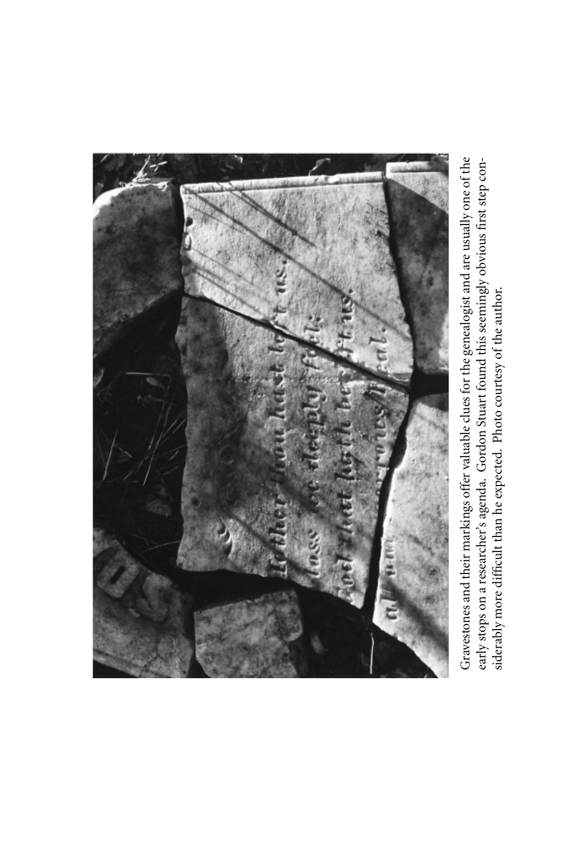

Gravestones and their markings offer valuable clues for the genealogist and are usually one of the early stops on a researcher's agenda. Gordon Stuart found this seemingly o ۾ vious first step considerably more difficult than he expected. Photo courtesy of the author.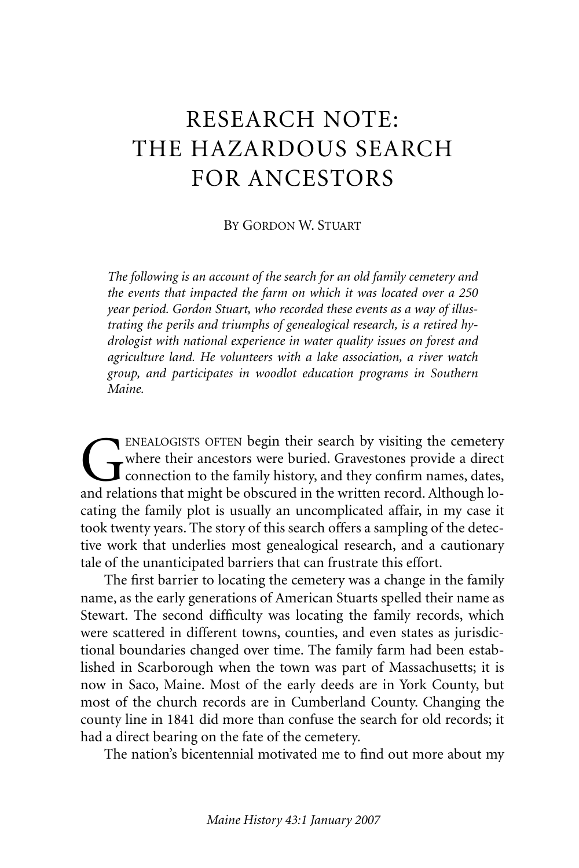## RESEARCH NOTE: THE HAZARDOUS SEARCH FOR ANCESTORS

#### BY GORDON W. STUART

*The following is an account of the search for an old family cemetery and the events that impacted the farm on which it was located over a 250 year period. Gordon Stuart, who recorded these events as a way of illustrating the perils and triumphs of genealogical research, is a retired hydrologist with national experience in water quality issues on forest and agriculture land. He volunteers with a lake association, a river watch group, and participates in woodlot education programs in Southern Maine.*

ENEALOGISTS OFTEN begin their search by visiting the cemetery where their ancestors were buried. Gravestones provide a direct connection to the family history, and they confirm names, dates, and relations that might be obscured in the written record. Although locating the family plot is usually an uncomplicated affair, in my case it took twenty years. The story of this search offers a sampling of the detective work that underlies most genealogical research, and a cautionary tale of the unanticipated barriers that can frustrate this effort.

The first barrier to locating the cemetery was a change in the family name, as the early generations of American Stuarts spelled their name as Stewart. The second difficulty was locating the family records, which were scattered in different towns, counties, and even states as jurisdictional boundaries changed over time. The family farm had been established in Scarborough when the town was part of Massachusetts; it is now in Saco, Maine. Most of the early deeds are in York County, but most of the church records are in Cumberland County. Changing the county line in 1841 did more than confuse the search for old records; it had a direct bearing on the fate of the cemetery.

The nation's bicentennial motivated me to find out more about my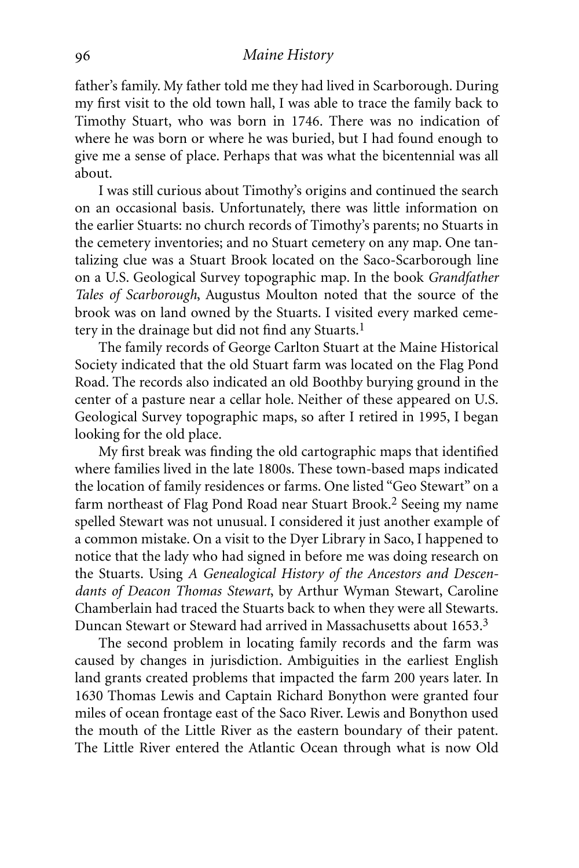father's family. My father told me they had lived in Scarborough. During my first visit to the old town hall, I was able to trace the family back to Timothy Stuart, who was born in 1746. There was no indication of where he was born or where he was buried, but I had found enough to give me a sense of place. Perhaps that was what the bicentennial was all about.

I was still curious about Timothy's origins and continued the search on an occasional basis. Unfortunately, there was little information on the earlier Stuarts: no church records of Timothy's parents; no Stuarts in the cemetery inventories; and no Stuart cemetery on any map. One tantalizing clue was a Stuart Brook located on the Saco-Scarborough line on a U.S. Geological Survey topographic map. In the book *Grandfather Tales of Scarborough*, Augustus Moulton noted that the source of the brook was on land owned by the Stuarts. I visited every marked cemetery in the drainage but did not find any Stuarts.<sup>1</sup>

The family records of George Carlton Stuart at the Maine Historical Society indicated that the old Stuart farm was located on the Flag Pond Road. The records also indicated an old Boothby burying ground in the center of a pasture near a cellar hole. Neither of these appeared on U.S. Geological Survey topographic maps, so after I retired in 1995, I began looking for the old place.

My first break was finding the old cartographic maps that identified where families lived in the late 1800s. These town-based maps indicated the location of family residences or farms. One listed "Geo Stewart" on a farm northeast of Flag Pond Road near Stuart Brook.<sup>2</sup> Seeing my name spelled Stewart was not unusual. I considered it just another example of a common mistake. On a visit to the Dyer Library in Saco, I happened to notice that the lady who had signed in before me was doing research on the Stuarts. Using *A Genealogical History of the Ancestors and Descendants of Deacon Thomas Stewart*, by Arthur Wyman Stewart, Caroline Chamberlain had traced the Stuarts back to when they were all Stewarts. Duncan Stewart or Steward had arrived in Massachusetts about 1653.<sup>3</sup>

The second problem in locating family records and the farm was caused by changes in jurisdiction. Ambiguities in the earliest English land grants created problems that impacted the farm 200 years later. In 1630 Thomas Lewis and Captain Richard Bonython were granted four miles of ocean frontage east of the Saco River. Lewis and Bonython used the mouth of the Little River as the eastern boundary of their patent. The Little River entered the Atlantic Ocean through what is now Old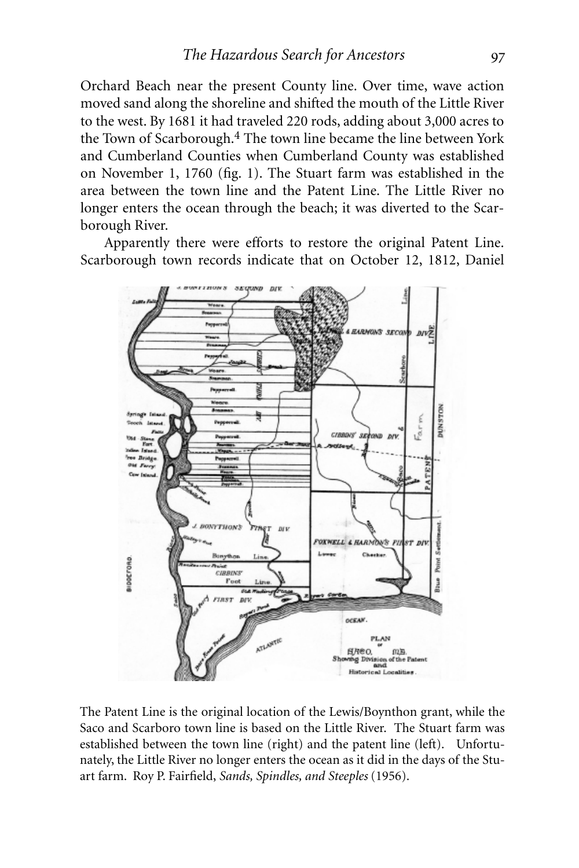Orchard Beach near the present County line. Over time, wave action moved sand along the shoreline and shifted the mouth of the Little River to the west. By 1681 it had traveled 220 rods, adding about 3,000 acres to the Town of Scarborough.4 The town line became the line between York and Cumberland Counties when Cumberland County was established on November 1, 1760 (fig. 1). The Stuart farm was established in the area between the town line and the Patent Line. The Little River no longer enters the ocean through the beach; it was diverted to the Scarborough River.

Apparently there were efforts to restore the original Patent Line. Scarborough town records indicate that on October 12, 1812, Daniel



The Patent Line is the original location of the Lewis/Boynthon grant, while the Saco and Scarboro town line is based on the Little River. The Stuart farm was established between the town line (right) and the patent line (left). Unfortunately, the Little River no longer enters the ocean as it did in the days of the Stuart farm. Roy P. Fairfield, *Sands, Spindles, and Steeples* (1956).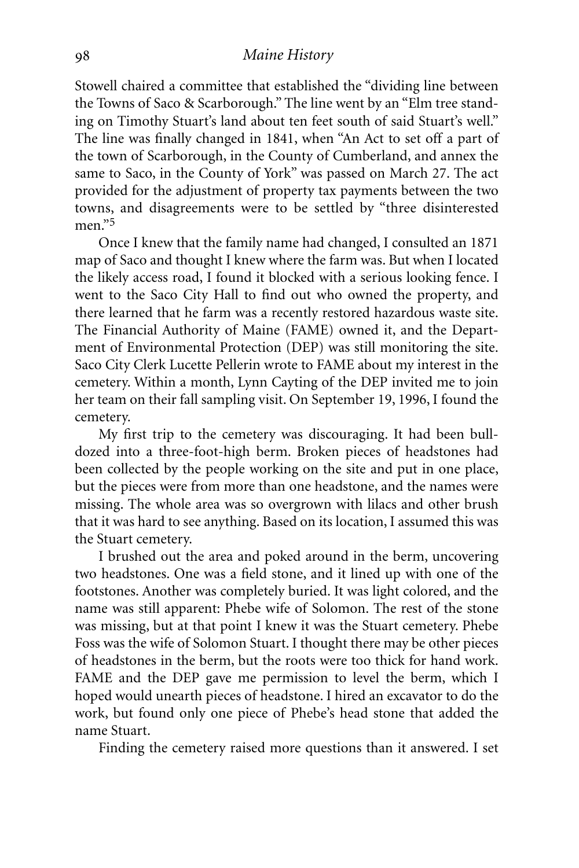#### *Maine History*

Stowell chaired a committee that established the "dividing line between the Towns of Saco & Scarborough." The line went by an "Elm tree standing on Timothy Stuart's land about ten feet south of said Stuart's well." The line was finally changed in 1841, when "An Act to set off a part of the town of Scarborough, in the County of Cumberland, and annex the same to Saco, in the County of York" was passed on March 27. The act provided for the adjustment of property tax payments between the two towns, and disagreements were to be settled by "three disinterested men."5

Once I knew that the family name had changed, I consulted an 1871 map of Saco and thought I knew where the farm was. But when I located the likely access road, I found it blocked with a serious looking fence. I went to the Saco City Hall to find out who owned the property, and there learned that he farm was a recently restored hazardous waste site. The Financial Authority of Maine (FAME) owned it, and the Department of Environmental Protection (DEP) was still monitoring the site. Saco City Clerk Lucette Pellerin wrote to FAME about my interest in the cemetery. Within a month, Lynn Cayting of the DEP invited me to join her team on their fall sampling visit. On September 19, 1996, I found the cemetery.

My first trip to the cemetery was discouraging. It had been bulldozed into a three-foot-high berm. Broken pieces of headstones had been collected by the people working on the site and put in one place, but the pieces were from more than one headstone, and the names were missing. The whole area was so overgrown with lilacs and other brush that it was hard to see anything. Based on its location, I assumed this was the Stuart cemetery.

I brushed out the area and poked around in the berm, uncovering two headstones. One was a field stone, and it lined up with one of the footstones. Another was completely buried. It was light colored, and the name was still apparent: Phebe wife of Solomon. The rest of the stone was missing, but at that point I knew it was the Stuart cemetery. Phebe Foss was the wife of Solomon Stuart. I thought there may be other pieces of headstones in the berm, but the roots were too thick for hand work. FAME and the DEP gave me permission to level the berm, which I hoped would unearth pieces of headstone. I hired an excavator to do the work, but found only one piece of Phebe's head stone that added the name Stuart.

Finding the cemetery raised more questions than it answered. I set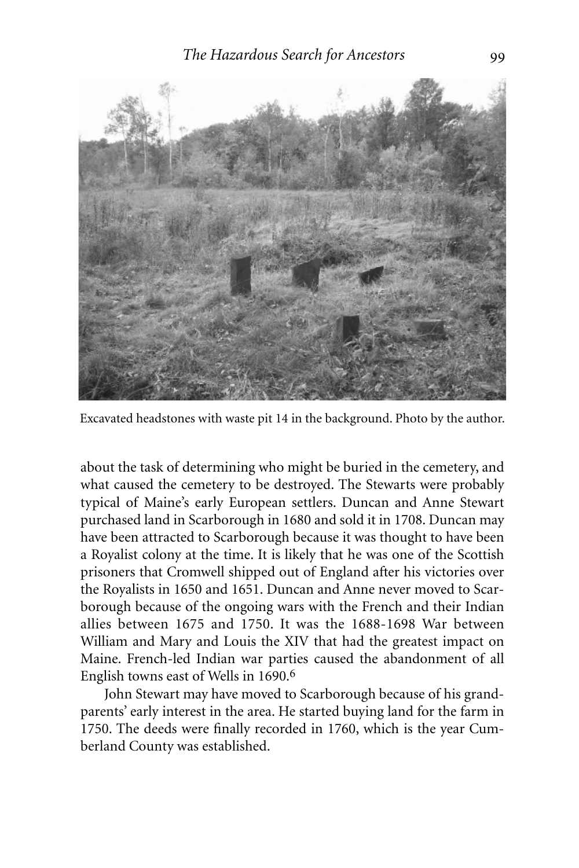

Excavated headstones with waste pit 14 in the background. Photo by the author.

about the task of determining who might be buried in the cemetery, and what caused the cemetery to be destroyed. The Stewarts were probably typical of Maine's early European settlers. Duncan and Anne Stewart purchased land in Scarborough in 1680 and sold it in 1708. Duncan may have been attracted to Scarborough because it was thought to have been a Royalist colony at the time. It is likely that he was one of the Scottish prisoners that Cromwell shipped out of England after his victories over the Royalists in 1650 and 1651. Duncan and Anne never moved to Scarborough because of the ongoing wars with the French and their Indian allies between 1675 and 1750. It was the 1688-1698 War between William and Mary and Louis the XIV that had the greatest impact on Maine. French-led Indian war parties caused the abandonment of all English towns east of Wells in 1690.6

John Stewart may have moved to Scarborough because of his grandparents' early interest in the area. He started buying land for the farm in 1750. The deeds were finally recorded in 1760, which is the year Cumberland County was established.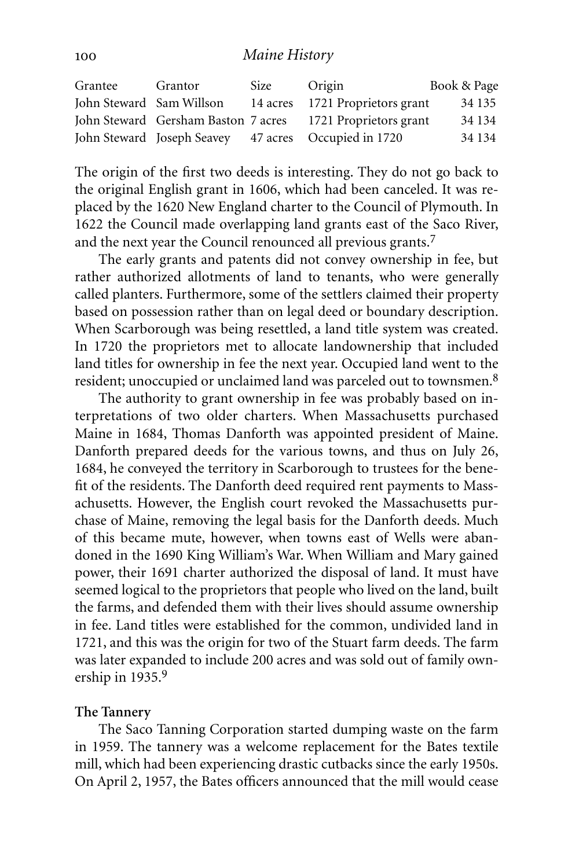| Grantee                  | Grantor                             | Size | Origin                          | Book & Page |
|--------------------------|-------------------------------------|------|---------------------------------|-------------|
| John Steward Sam Willson |                                     |      | 14 acres 1721 Proprietors grant | 34 1 35     |
|                          | John Steward Gersham Baston 7 acres |      | 1721 Proprietors grant          | 34 1 34     |
|                          | John Steward Joseph Seavey          |      | 47 acres Occupied in 1720       | 34 1 34     |

The origin of the first two deeds is interesting. They do not go back to the original English grant in 1606, which had been canceled. It was replaced by the 1620 New England charter to the Council of Plymouth. In 1622 the Council made overlapping land grants east of the Saco River, and the next year the Council renounced all previous grants.7

The early grants and patents did not convey ownership in fee, but rather authorized allotments of land to tenants, who were generally called planters. Furthermore, some of the settlers claimed their property based on possession rather than on legal deed or boundary description. When Scarborough was being resettled, a land title system was created. In 1720 the proprietors met to allocate landownership that included land titles for ownership in fee the next year. Occupied land went to the resident; unoccupied or unclaimed land was parceled out to townsmen.8

The authority to grant ownership in fee was probably based on interpretations of two older charters. When Massachusetts purchased Maine in 1684, Thomas Danforth was appointed president of Maine. Danforth prepared deeds for the various towns, and thus on July 26, 1684, he conveyed the territory in Scarborough to trustees for the benefit of the residents. The Danforth deed required rent payments to Massachusetts. However, the English court revoked the Massachusetts purchase of Maine, removing the legal basis for the Danforth deeds. Much of this became mute, however, when towns east of Wells were abandoned in the 1690 King William's War. When William and Mary gained power, their 1691 charter authorized the disposal of land. It must have seemed logical to the proprietors that people who lived on the land, built the farms, and defended them with their lives should assume ownership in fee. Land titles were established for the common, undivided land in 1721, and this was the origin for two of the Stuart farm deeds. The farm was later expanded to include 200 acres and was sold out of family ownership in 1935.9

#### **The Tannery**

The Saco Tanning Corporation started dumping waste on the farm in 1959. The tannery was a welcome replacement for the Bates textile mill, which had been experiencing drastic cutbacks since the early 1950s. On April 2, 1957, the Bates officers announced that the mill would cease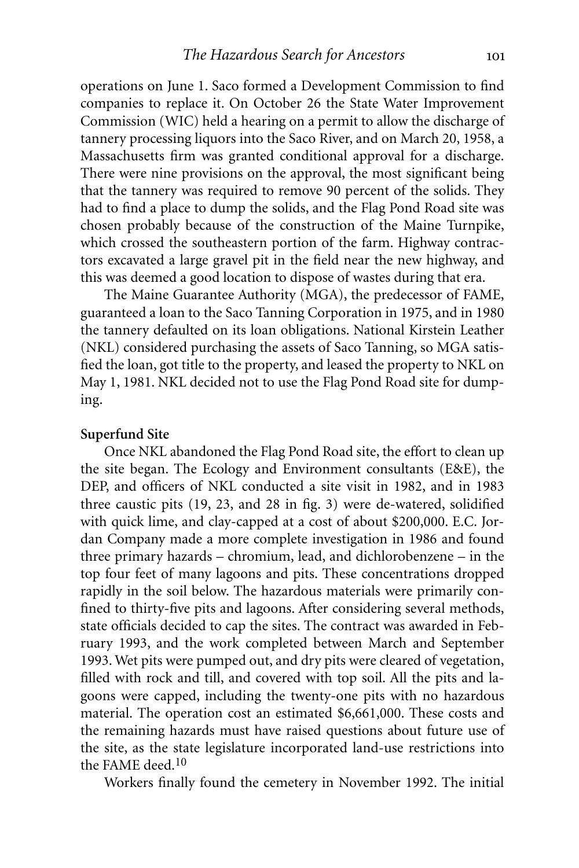operations on June 1. Saco formed a Development Commission to find companies to replace it. On October 26 the State Water Improvement Commission (WIC) held a hearing on a permit to allow the discharge of tannery processing liquors into the Saco River, and on March 20, 1958, a Massachusetts firm was granted conditional approval for a discharge. There were nine provisions on the approval, the most significant being that the tannery was required to remove 90 percent of the solids. They had to find a place to dump the solids, and the Flag Pond Road site was chosen probably because of the construction of the Maine Turnpike, which crossed the southeastern portion of the farm. Highway contractors excavated a large gravel pit in the field near the new highway, and this was deemed a good location to dispose of wastes during that era.

The Maine Guarantee Authority (MGA), the predecessor of FAME, guaranteed a loan to the Saco Tanning Corporation in 1975, and in 1980 the tannery defaulted on its loan obligations. National Kirstein Leather (NKL) considered purchasing the assets of Saco Tanning, so MGA satisfied the loan, got title to the property, and leased the property to NKL on May 1, 1981. NKL decided not to use the Flag Pond Road site for dumping.

#### **Superfund Site**

Once NKL abandoned the Flag Pond Road site, the effort to clean up the site began. The Ecology and Environment consultants (E&E), the DEP, and officers of NKL conducted a site visit in 1982, and in 1983 three caustic pits (19, 23, and 28 in fig. 3) were de-watered, solidified with quick lime, and clay-capped at a cost of about \$200,000. E.C. Jordan Company made a more complete investigation in 1986 and found three primary hazards – chromium, lead, and dichlorobenzene – in the top four feet of many lagoons and pits. These concentrations dropped rapidly in the soil below. The hazardous materials were primarily confined to thirty-five pits and lagoons. After considering several methods, state officials decided to cap the sites. The contract was awarded in February 1993, and the work completed between March and September 1993. Wet pits were pumped out, and dry pits were cleared of vegetation, filled with rock and till, and covered with top soil. All the pits and lagoons were capped, including the twenty-one pits with no hazardous material. The operation cost an estimated \$6,661,000. These costs and the remaining hazards must have raised questions about future use of the site, as the state legislature incorporated land-use restrictions into the FAME deed.<sup>10</sup>

Workers finally found the cemetery in November 1992. The initial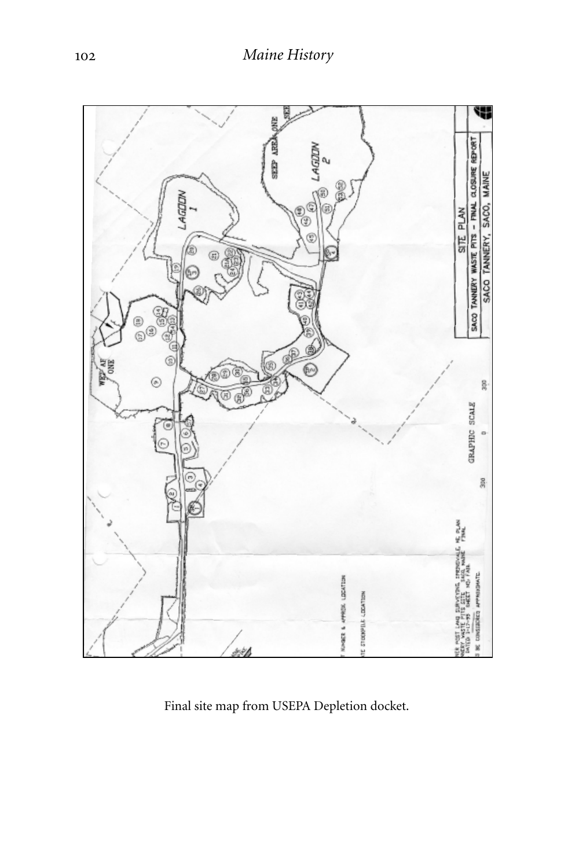

Final site map from USEPA Depletion docket.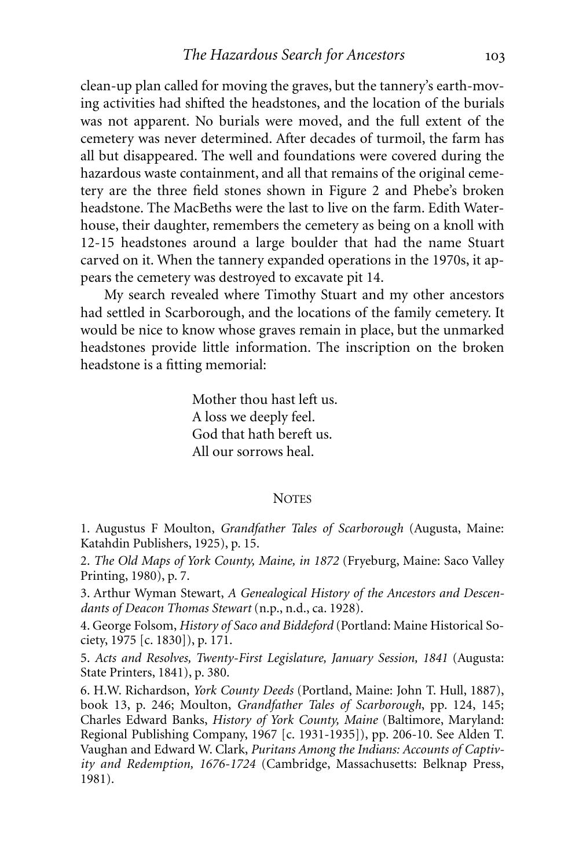clean-up plan called for moving the graves, but the tannery's earth-moving activities had shifted the headstones, and the location of the burials was not apparent. No burials were moved, and the full extent of the cemetery was never determined. After decades of turmoil, the farm has all but disappeared. The well and foundations were covered during the hazardous waste containment, and all that remains of the original cemetery are the three field stones shown in Figure 2 and Phebe's broken headstone. The MacBeths were the last to live on the farm. Edith Waterhouse, their daughter, remembers the cemetery as being on a knoll with 12-15 headstones around a large boulder that had the name Stuart carved on it. When the tannery expanded operations in the 1970s, it appears the cemetery was destroyed to excavate pit 14.

My search revealed where Timothy Stuart and my other ancestors had settled in Scarborough, and the locations of the family cemetery. It would be nice to know whose graves remain in place, but the unmarked headstones provide little information. The inscription on the broken headstone is a fitting memorial:

> Mother thou hast left us. A loss we deeply feel. God that hath bereft us. All our sorrows heal.

#### **NOTES**

1. Augustus F Moulton, *Grandfather Tales of Scarborough* (Augusta, Maine: Katahdin Publishers, 1925), p. 15.

2. *The Old Maps of York County, Maine, in 1872* (Fryeburg, Maine: Saco Valley Printing, 1980), p. 7.

3. Arthur Wyman Stewart, *A Genealogical History of the Ancestors and Descendants of Deacon Thomas Stewart* (n.p., n.d., ca. 1928).

4. George Folsom, *History of Saco and Biddeford* (Portland: Maine Historical Society, 1975 [c. 1830]), p. 171.

5. *Acts and Resolves, Twenty-First Legislature, January Session, 1841* (Augusta: State Printers, 1841), p. 380.

6. H.W. Richardson, *York County Deeds* (Portland, Maine: John T. Hull, 1887), book 13, p. 246; Moulton, *Grandfather Tales of Scarborough*, pp. 124, 145; Charles Edward Banks, *History of York County, Maine* (Baltimore, Maryland: Regional Publishing Company, 1967 [c. 1931-1935]), pp. 206-10. See Alden T. Vaughan and Edward W. Clark, *Puritans Among the Indians: Accounts of Captivity and Redemption, 1676-1724* (Cambridge, Massachusetts: Belknap Press, 1981).